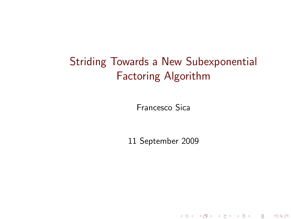# Striding Towards a New Subexponential Factoring Algorithm

Francesco Sica

<span id="page-0-0"></span>11 September 2009

イロト イ団ト イミト イミト ニミー のべの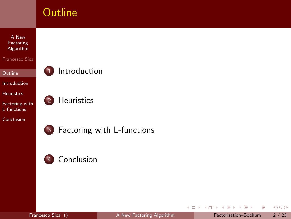

4 0 8 4 母 э

<span id="page-1-0"></span>÷  $\mathbf{h}$  $\sim$ 

 $\rightarrow$  $\mathcal{A}$   $2Q$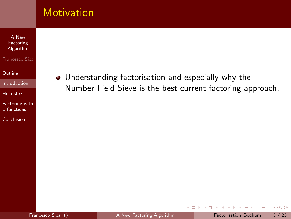### **Motivation**

A New Factoring [Algorithm](#page-0-0)

Francesco Sica

**[Outline](#page-1-0)** 

[Introduction](#page-2-0)

[Heuristics](#page-15-0)

[Factoring with](#page-23-0) L-functions

[Conclusion](#page-39-0)

Understanding factorisation and especially why the Number Field Sieve is the best current factoring approach.

<span id="page-2-0"></span>4 0 8 ∢母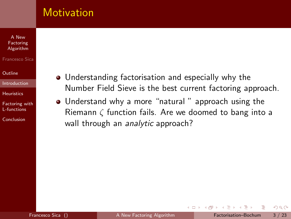### **Motivation**

#### A New Factoring [Algorithm](#page-0-0)

#### Francesco Sica

#### [Outline](#page-1-0)

#### [Introduction](#page-2-0)

#### [Heuristics](#page-15-0)

[Factoring with](#page-23-0) L-functions

[Conclusion](#page-39-0)

- Understanding factorisation and especially why the Number Field Sieve is the best current factoring approach.
- Understand why a more "natural" approach using the Riemann  $\zeta$  function fails. Are we doomed to bang into a wall through an analytic approach?

4 D F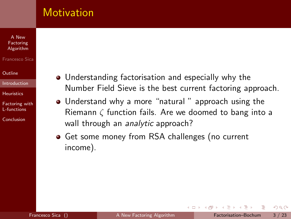### **Motivation**

#### A New Factoring [Algorithm](#page-0-0)

#### Francesco Sica

#### [Outline](#page-1-0)

#### [Introduction](#page-2-0)

#### [Heuristics](#page-15-0)

[Factoring with](#page-23-0) L-functions

[Conclusion](#page-39-0)

- Understanding factorisation and especially why the Number Field Sieve is the best current factoring approach.
- Understand why a more "natural" approach using the Riemann  $\zeta$  function fails. Are we doomed to bang into a wall through an analytic approach?

4 **E** F

Get some money from RSA challenges (no current income).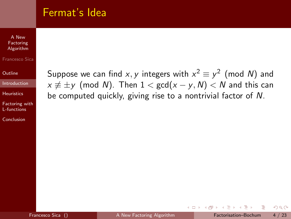### Fermat's Idea

A New Factoring [Algorithm](#page-0-0)

Francesco Sica

**[Outline](#page-1-0)** 

[Introduction](#page-2-0)

**[Heuristics](#page-15-0)** 

[Factoring with](#page-23-0) L-functions

[Conclusion](#page-39-0)

Suppose we can find x, y integers with  $x^2 \equiv y^2 \pmod{N}$  and  $x \not\equiv \pm y$  (mod N). Then  $1 < \gcd(x - y, N) < N$  and this can be computed quickly, giving rise to a nontrivial factor of N.

4 D F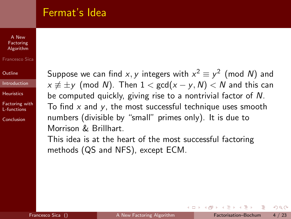### Fermat's Idea

#### A New Factoring [Algorithm](#page-0-0)

#### Francesco Sica

[Outline](#page-1-0)

[Introduction](#page-2-0)

**[Heuristics](#page-15-0)** 

[Factoring with](#page-23-0) L-functions

[Conclusion](#page-39-0)

Suppose we can find x, y integers with  $x^2 \equiv y^2 \pmod{N}$  and  $x \not\equiv \pm y$  (mod N). Then  $1 < \gcd(x - y, N) < N$  and this can be computed quickly, giving rise to a nontrivial factor of N. To find  $x$  and  $y$ , the most successful technique uses smooth numbers (divisible by "small" primes only). It is due to Morrison & Brillhart.

This idea is at the heart of the most successful factoring methods (QS and NFS), except ECM.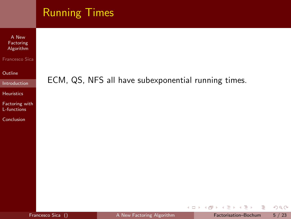| ECM, QS, NFS all have subexponential running times. |
|-----------------------------------------------------|
|                                                     |
|                                                     |
|                                                     |
|                                                     |

イロト (部) (ミ) (ミ) (ミ) ミーのQ(V)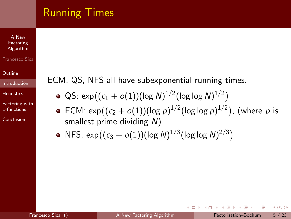# Running Times

A New Factoring [Algorithm](#page-0-0)

Francesco Sica

**[Outline](#page-1-0)** 

[Introduction](#page-2-0)

**[Heuristics](#page-15-0)** 

[Factoring with](#page-23-0) L-functions

[Conclusion](#page-39-0)

ECM, QS, NFS all have subexponential running times.

- $\operatorname{\mathsf{QS}}\colon \exp\bigl((c_1+o(1))(\operatorname{\mathsf{log}}\, \mathsf{N})^{1/2}(\operatorname{\mathsf{log}}\, \operatorname{\mathsf{log}}\, \mathsf{N})^{1/2}\bigr)$
- ECM:  $\exp\bigl((c_2+o(1))(\log\rho)^{1/2}(\log\log\rho)^{1/2}\bigr)$ ,  $(\text{where}\,\, \rho\text{ is }$ smallest prime dividing N)

4 D F

NFS:  $\exp((c_3 + o(1))(\log N)^{1/3}(\log \log N)^{2/3})$ 

 $QQ$ 

ミメ メラメ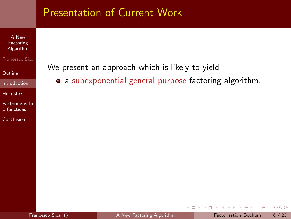A New Factoring [Algorithm](#page-0-0)

Francesco Sica

**[Outline](#page-1-0)** 

[Introduction](#page-2-0)

[Heuristics](#page-15-0)

[Factoring with](#page-23-0) L-functions

[Conclusion](#page-39-0)

We present an approach which is likely to yield

• a subexponential general purpose factoring algorithm.

4 0 8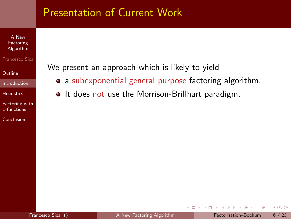A New Factoring [Algorithm](#page-0-0)

#### Francesco Sica

[Outline](#page-1-0)

[Introduction](#page-2-0)

[Heuristics](#page-15-0)

[Factoring with](#page-23-0) L-functions

[Conclusion](#page-39-0)

We present an approach which is likely to yield

- a subexponential general purpose factoring algorithm.
- $\bullet$  It does not use the Morrison-Brillhart paradigm.

 $\leftarrow$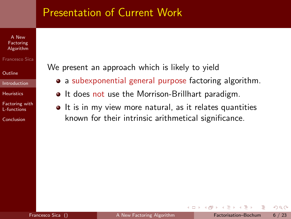#### A New **Factoring** [Algorithm](#page-0-0)

#### Francesco Sica

[Outline](#page-1-0)

[Introduction](#page-2-0)

[Heuristics](#page-15-0)

[Factoring with](#page-23-0) L-functions

[Conclusion](#page-39-0)

We present an approach which is likely to yield

- a subexponential general purpose factoring algorithm.
- It does not use the Morrison-Brillhart paradigm.
- It is in my view more natural, as it relates quantities known for their intrinsic arithmetical significance.

 $\leftarrow$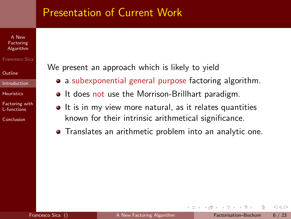#### A New Factoring [Algorithm](#page-0-0)

#### Francesco Sica

[Outline](#page-1-0)

[Introduction](#page-2-0)

**[Heuristics](#page-15-0)** 

[Factoring with](#page-23-0) L-functions

[Conclusion](#page-39-0)

We present an approach which is likely to yield

- a subexponential general purpose factoring algorithm.
- It does not use the Morrison-Brillhart paradigm.
- It is in my view more natural, as it relates quantities known for their intrinsic arithmetical significance.
- Translates an arithmetic problem into an analytic one.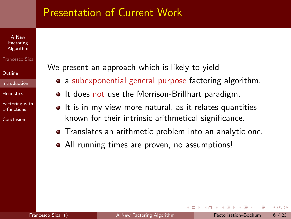#### A New Factoring [Algorithm](#page-0-0)

#### Francesco Sica

[Outline](#page-1-0)

#### [Introduction](#page-2-0)

**[Heuristics](#page-15-0)** 

[Factoring with](#page-23-0) L-functions

[Conclusion](#page-39-0)

We present an approach which is likely to yield

- a subexponential general purpose factoring algorithm.
- It does not use the Morrison-Brillhart paradigm.
- $\bullet$  It is in my view more natural, as it relates quantities known for their intrinsic arithmetical significance.
- Translates an arithmetic problem into an analytic one.
- All running times are proven, no assumptions!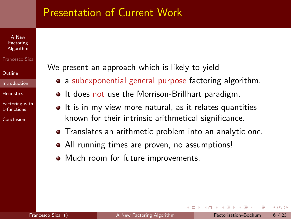#### A New Factoring [Algorithm](#page-0-0)

#### Francesco Sica

[Outline](#page-1-0)

#### [Introduction](#page-2-0)

**[Heuristics](#page-15-0)** 

[Factoring with](#page-23-0) L-functions

[Conclusion](#page-39-0)

We present an approach which is likely to yield

- a subexponential general purpose factoring algorithm.
- It does not use the Morrison-Brillhart paradigm.
- $\bullet$  It is in my view more natural, as it relates quantities known for their intrinsic arithmetical significance.
- Translates an arithmetic problem into an analytic one.
- All running times are proven, no assumptions!
- Much room for future improvements.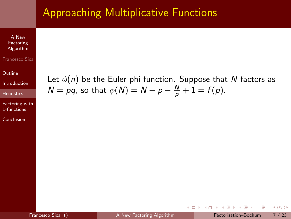## Approaching Multiplicative Functions

A New Factoring [Algorithm](#page-0-0)

#### Francesco Sica

**[Outline](#page-1-0)** 

[Introduction](#page-2-0)

**[Heuristics](#page-15-0)** 

[Factoring with](#page-23-0) L-functions

[Conclusion](#page-39-0)

Let  $\phi(n)$  be the Euler phi function. Suppose that N factors as  $N = pq$ , so that  $\phi(N) = N - p - \frac{N}{p} + 1 = f(p)$ .

 $QQ$ 

<span id="page-15-0"></span> $\sim$ 

4 D F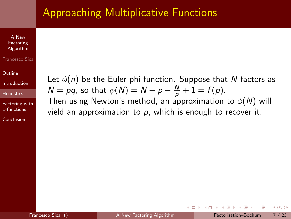### Approaching Multiplicative Functions

A New Factoring [Algorithm](#page-0-0)

#### Francesco Sica

**[Outline](#page-1-0)** 

[Introduction](#page-2-0)

**[Heuristics](#page-15-0)** 

[Factoring with](#page-23-0) L-functions

[Conclusion](#page-39-0)

Let  $\phi(n)$  be the Euler phi function. Suppose that N factors as  $N = pq$ , so that  $\phi(N) = N - p - \frac{N}{p} + 1 = f(p)$ .

Then using Newton's method, an approximation to  $\phi(N)$  will yield an approximation to  $p$ , which is enough to recover it.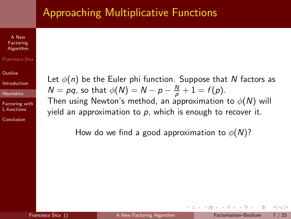### Approaching Multiplicative Functions

A New Factoring [Algorithm](#page-0-0)

#### Francesco Sica

**[Outline](#page-1-0)** 

[Introduction](#page-2-0)

**[Heuristics](#page-15-0)** 

[Factoring with](#page-23-0) L-functions

[Conclusion](#page-39-0)

Let  $\phi(n)$  be the Euler phi function. Suppose that N factors as  $N = pq$ , so that  $\phi(N) = N - p - \frac{N}{p} + 1 = f(p)$ .

Then using Newton's method, an approximation to  $\phi(N)$  will vield an approximation to  $p$ , which is enough to recover it.

How do we find a good approximation to  $\phi(N)$ ?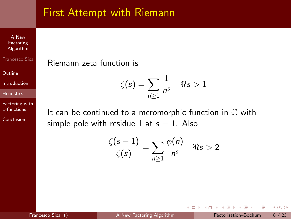### First Attempt with Riemann

A New Factoring [Algorithm](#page-0-0)

Francesco Sica

**[Outline](#page-1-0)** 

[Introduction](#page-2-0)

[Heuristics](#page-15-0)

[Factoring with](#page-23-0) L-functions

[Conclusion](#page-39-0)

Riemann zeta function is

$$
\zeta(s) = \sum_{n\geq 1} \frac{1}{n^s} \quad \Re s > 1
$$

It can be continued to a meromorphic function in  $\mathbb C$  with simple pole with residue 1 at  $s = 1$ . Also

$$
\frac{\zeta(s-1)}{\zeta(s)} = \sum_{n\geq 1} \frac{\phi(n)}{n^s} \quad \Re s > 2
$$

4 D F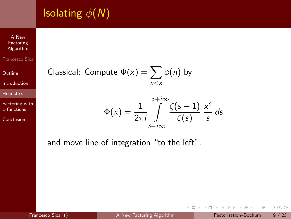# **Isolating**  $\phi(N)$

A New Factoring [Algorithm](#page-0-0)

Francesco Sica

**[Outline](#page-1-0)** 

[Introduction](#page-2-0)

[Heuristics](#page-15-0)

[Factoring with](#page-23-0) L-functions

[Conclusion](#page-39-0)

Classical: Compute 
$$
\Phi(x) = \sum_{n \le x} \phi(n)
$$
 by

$$
\Phi(x) = \frac{1}{2\pi i} \int_{3-i\infty}^{3+i\infty} \frac{\zeta(s-1)}{\zeta(s)} \frac{x^s}{s} ds
$$

4 0 8  $\rightarrow$   $\Box$ 

and move line of integration "to the left".

э

÷  $\mathbf{h}$  $\sim$ 

 $\mathcal{A}$ 

 $2Q$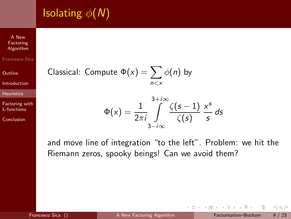# **Isolating**  $\phi(N)$

A New Factoring [Algorithm](#page-0-0) Francesco Sica

**[Outline](#page-1-0)** 

[Introduction](#page-2-0)

[Heuristics](#page-15-0)

[Factoring with](#page-23-0) L-functions

[Conclusion](#page-39-0)

Classical: Compute 
$$
\Phi(x) = \sum_{n \le x} \phi(n)
$$
 by

$$
\Phi(x) = \frac{1}{2\pi i} \int_{3-i\infty}^{3+i\infty} \frac{\zeta(s-1)}{\zeta(s)} \frac{x^s}{s} ds
$$

and move line of integration "to the left". Problem: we hit the Riemann zeros, spooky beings! Can we avoid them?

 $\mathbf{b}$ 

4 D F ∢母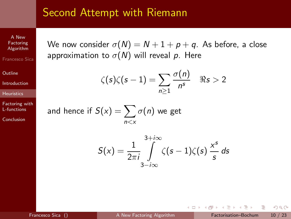### Second Attempt with Riemann

A New Factoring [Algorithm](#page-0-0) Francesco Sica

**[Outline](#page-1-0)** 

[Introduction](#page-2-0)

**[Heuristics](#page-15-0)** 

[Factoring with](#page-23-0) L-functions

[Conclusion](#page-39-0)

We now consider  $\sigma(N) = N + 1 + p + q$ . As before, a close approximation to  $\sigma(N)$  will reveal p. Here

$$
\zeta(s)\zeta(s-1)=\sum_{n\geq 1}\frac{\sigma(n)}{n^s}\quad \Re s>2
$$

and hence if  $S(\mathsf{x}) = \sum \sigma(n)$  we get  $n < x$ 

$$
S(x) = \frac{1}{2\pi i} \int_{3-i\infty}^{3+i\infty} \zeta(s-1)\zeta(s) \frac{x^s}{s} ds
$$

 $\leftarrow$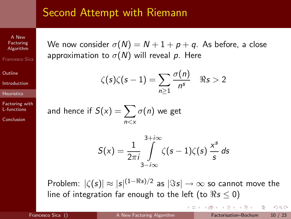### Second Attempt with Riemann

A New Factoring [Algorithm](#page-0-0) Francesco Sica

**[Outline](#page-1-0)** 

[Introduction](#page-2-0)

**[Heuristics](#page-15-0)** 

[Factoring with](#page-23-0) L-functions

[Conclusion](#page-39-0)

We now consider  $\sigma(N) = N + 1 + p + q$ . As before, a close approximation to  $\sigma(N)$  will reveal p. Here

$$
\zeta(s)\zeta(s-1)=\sum_{n\geq 1}\frac{\sigma(n)}{n^s}\quad \Re s>2
$$

and hence if  $S(\mathsf{x}) = \sum \sigma(n)$  we get  $n < x$ 

$$
S(x) = \frac{1}{2\pi i} \int_{3-i\infty}^{3+i\infty} \zeta(s-1)\zeta(s) \frac{x^s}{s} ds
$$

Problem:  $|\zeta(s)| \approx |s|^{(1-\Re s)/2}$  as  $|\Im s| \to \infty$  so cannot move the line of integration far enough to the left (to  $\Re s \leq 0$ )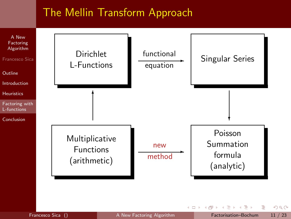### The Mellin Transform Approach



Francesco Sica () **[A New Factoring Algorithm](#page-0-0) Factorisation–Bochum** 11 / 23

<span id="page-23-0"></span> $\leftarrow$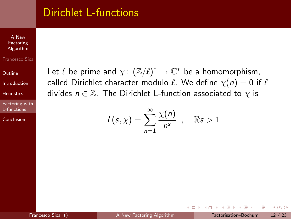### Dirichlet L-functions

A New Factoring [Algorithm](#page-0-0)

Francesco Sica

**[Outline](#page-1-0)** 

[Introduction](#page-2-0)

[Heuristics](#page-15-0)

[Factoring with](#page-23-0) L-functions

[Conclusion](#page-39-0)

Let  $\ell$  be prime and  $\chi: (\mathbb{Z}/\ell)^* \to \mathbb{C}^*$  be a homomorphism, called Dirichlet character modulo  $\ell$ . We define  $\chi(n) = 0$  if  $\ell$ divides  $n \in \mathbb{Z}$ . The Dirichlet L-function associated to  $\chi$  is

$$
L(s,\chi)=\sum_{n=1}^{\infty}\frac{\chi(n)}{n^s},\quad \Re s>1
$$

4 D F

 $OQ$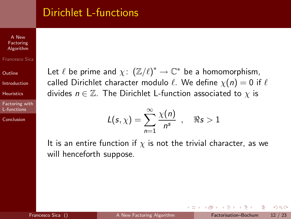### Dirichlet L-functions

A New Factoring [Algorithm](#page-0-0) Francesco Sica

**[Outline](#page-1-0)** 

[Introduction](#page-2-0)

**[Heuristics](#page-15-0)** 

[Factoring with](#page-23-0) L-functions

[Conclusion](#page-39-0)

Let  $\ell$  be prime and  $\chi: (\mathbb{Z}/\ell)^* \to \mathbb{C}^*$  be a homomorphism, called Dirichlet character modulo  $\ell$ . We define  $\chi(n) = 0$  if  $\ell$ divides  $n \in \mathbb{Z}$ . The Dirichlet L-function associated to  $\chi$  is

$$
L(s,\chi)=\sum_{n=1}^{\infty}\frac{\chi(n)}{n^s},\quad \Re s>1
$$

It is an entire function if  $\chi$  is not the trivial character, as we will henceforth suppose.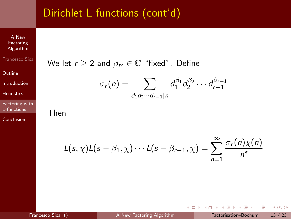## Dirichlet L-functions (cont'd)

Factoring [Algorithm](#page-0-0) Francesco Sica

A New

**[Outline](#page-1-0)** 

[Introduction](#page-2-0)

[Heuristics](#page-15-0)

[Factoring with](#page-23-0) L-functions

[Conclusion](#page-39-0)

We let 
$$
r \ge 2
$$
 and  $\beta_m \in \mathbb{C}$  "fixed". Define  

$$
\sigma_r(n) = \sum_{d_1d_2\cdots d_{r-1}|n} d_1^{\beta_1} d_2^{\beta_2} \cdots d_{r-1}^{\beta_{r-1}}
$$

Then

$$
L(s,\chi)L(s-\beta_1,\chi)\cdots L(s-\beta_{r-1},\chi)=\sum_{n=1}^{\infty}\frac{\sigma_r(n)\chi(n)}{n^s}
$$

4 0 8

 $\rightarrow$   $\Box$ 

÷  $\sim$ 

 $\mathcal{A}$ 

 $2Q$ 

э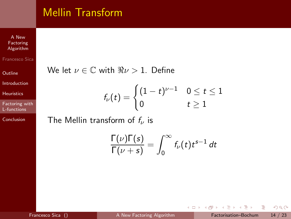## Mellin Transform

A New Factoring [Algorithm](#page-0-0) Francesco Sica

**[Outline](#page-1-0)** 

[Introduction](#page-2-0)

[Heuristics](#page-15-0)

[Factoring with](#page-23-0) L-functions

[Conclusion](#page-39-0)

We let  $\nu \in \mathbb{C}$  with  $\Re \nu > 1$ . Define

$$
f_{\nu}(t)=\begin{cases}(1-t)^{\nu-1} & 0\leq t\leq 1\\0 & t\geq 1\end{cases}
$$

The Mellin transform of  $f_{\nu}$  is

$$
\frac{\Gamma(\nu)\Gamma(s)}{\Gamma(\nu+s)}=\int_0^\infty f_\nu(t)t^{s-1}\,dt
$$

 $\mathbf{h}$ 

**← ロ ▶ → イ 同** 

**In** 

 $2Q$ 

э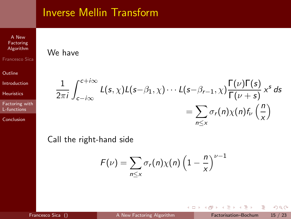### Inverse Mellin Transform

We have

A New Factoring [Algorithm](#page-0-0)

Francesco Sica

**[Outline](#page-1-0)** 

[Introduction](#page-2-0)

**[Heuristics](#page-15-0)** 

[Factoring with](#page-23-0) L-functions

[Conclusion](#page-39-0)

#### 1 2πi  $\int^{c+i\infty}$ c−i∞  $L(s,\chi)L(s-\beta_1,\chi)\cdots L(s-\beta_{r-1},\chi)\frac{\Gamma(\nu)\Gamma(s)}{\Gamma(\nu+s)}$  $\frac{\Gamma(\nu)\Gamma(s)}{\Gamma(\nu+s)}$  x<sup>s</sup> ds  $=\sum \sigma_r(n)\chi(n) f_\nu\left(\frac{n}{n}\right)$ n≤x x  $\setminus$

Call the right-hand side

$$
F(\nu) = \sum_{n \leq x} \sigma_r(n) \chi(n) \left(1 - \frac{n}{x}\right)^{\nu - 1}
$$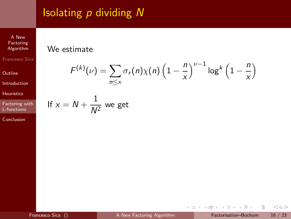## Isolating  $p$  dividing  $N$

A New Factoring [Algorithm](#page-0-0) Francesco Sica

**[Outline](#page-1-0)** 

[Introduction](#page-2-0)

[Heuristics](#page-15-0)

[Factoring with](#page-23-0) L-functions

[Conclusion](#page-39-0)

### We estimate

$$
F^{(k)}(\nu) = \sum_{n \leq x} \sigma_r(n) \chi(n) \left(1 - \frac{n}{x}\right)^{\nu - 1} \log^k \left(1 - \frac{n}{x}\right)
$$

If 
$$
x = N + \frac{1}{N^2}
$$
 we get

**←ロト ←何ト** 

 $\sim$ ÷.  $\rightarrow$  ÷,

 $2Q$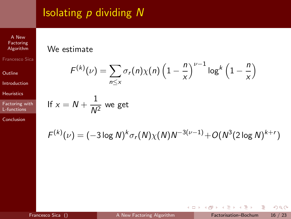## Isolating  $p$  dividing  $N$

A New Factoring [Algorithm](#page-0-0) Francesco Sica

**[Outline](#page-1-0)** 

[Introduction](#page-2-0)

[Heuristics](#page-15-0)

[Factoring with](#page-23-0) L-functions

[Conclusion](#page-39-0)

### We estimate

$$
F^{(k)}(\nu) = \sum_{n \leq x} \sigma_r(n) \chi(n) \left(1 - \frac{n}{x}\right)^{\nu - 1} \log^k \left(1 - \frac{n}{x}\right)
$$

If 
$$
x = N + \frac{1}{N^2}
$$
 we get

$$
F^{(k)}(\nu) = (-3 \log N)^k \sigma_r(N) \chi(N) N^{-3(\nu-1)} + O(N^3 (2 \log N)^{k+r})
$$

**←ロト ←何ト** 

 $\sim$ ÷.  $\rightarrow$  ÷,

 $2Q$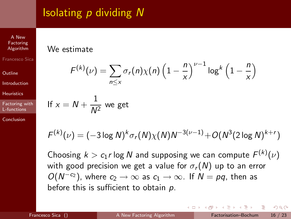# Isolating p dividing N

Factoring [Algorithm](#page-0-0) Francesco Sica

A New

[Outline](#page-1-0)

[Introduction](#page-2-0)

**[Heuristics](#page-15-0)** 

[Factoring with](#page-23-0) L-functions

[Conclusion](#page-39-0)

### We estimate

If  $x$ 

$$
F^{(k)}(\nu) = \sum_{n \le x} \sigma_r(n) \chi(n) \left(1 - \frac{n}{x}\right)^{\nu - 1} \log^k \left(1 - \frac{n}{x}\right)
$$
  
=  $N + \frac{1}{N^2}$  we get

$$
F^{(k)}(\nu) = (-3 \log N)^k \sigma_r(N) \chi(N) N^{-3(\nu-1)} + O(N^3 (2 \log N)^{k+r})
$$

Choosing  $k > c_1 r \log N$  and supposing we can compute  $F^{(k)}(\nu)$ with good precision we get a value for  $\sigma_r(N)$  up to an error  $O(N^{-c_2})$ , where  $c_2 \to \infty$  as  $c_1 \to \infty$ . If  $N = pq$ , then as before this is sufficient to obtain  $p$ .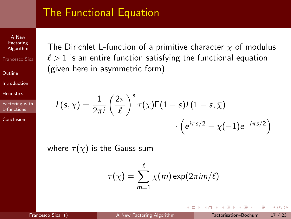### The Functional Equation

A New Factoring [Algorithm](#page-0-0) Francesco Sica

**[Outline](#page-1-0)** 

[Introduction](#page-2-0)

**[Heuristics](#page-15-0)** 

[Factoring with](#page-23-0) L-functions

[Conclusion](#page-39-0)

The Dirichlet L-function of a primitive character  $\chi$  of modulus  $\ell > 1$  is an entire function satisfying the functional equation (given here in asymmetric form)

$$
L(s,\chi) = \frac{1}{2\pi i} \left(\frac{2\pi}{\ell}\right)^s \tau(\chi) \Gamma(1-s) L(1-s,\bar{\chi})
$$

$$
\cdot \left(e^{i\pi s/2} - \chi(-1)e^{-i\pi s/2}\right)
$$

where  $\tau(\chi)$  is the Gauss sum

$$
\tau(\chi) = \sum_{m=1}^{\ell} \chi(m) \exp(2\pi i m/\ell)
$$

4 D F

 $OQ$ 

 $\sim$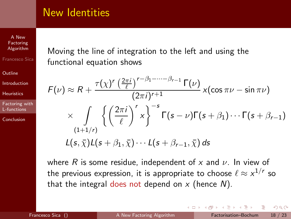### New Identities

Factoring [Algorithm](#page-0-0) Francesco Sica

A New

**[Outline](#page-1-0)** 

[Introduction](#page-2-0)

[Heuristics](#page-15-0)

[Factoring with](#page-23-0) L-functions

[Conclusion](#page-39-0)

Moving the line of integration to the left and using the functional equation shows

$$
F(\nu) \approx R + \frac{\tau(\chi)^r \left(\frac{2\pi i}{\ell}\right)^{r-\beta_1-\cdots-\beta_{r-1}} \Gamma(\nu)}{(2\pi i)^{r+1}} \times (\cos \pi \nu - \sin \pi \nu)
$$
  
 
$$
\times \int_{(1+1/r)} \left\{ \left(\frac{2\pi i}{\ell}\right)^r x \right\}^{-s} \Gamma(s-\nu) \Gamma(s+\beta_1) \cdots \Gamma(s+\beta_{r-1})
$$
  
L(s,  $\bar{\chi}$ )L(s +  $\beta_1$ ,  $\bar{\chi}$ ) \cdots L(s +  $\beta_{r-1}$ ,  $\bar{\chi}$ ) ds

where R is some residue, independent of x and  $\nu$ . In view of the previous expression, it is appropriate to choose  $\ell \approx x^{1/r}$  so that the integral does not depend on  $x$  (hence  $N$ ).

4 D F

 $OQ$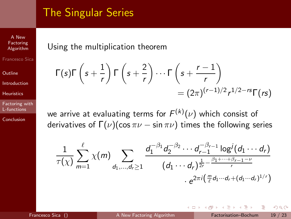## The Singular Series

A New Factoring [Algorithm](#page-0-0) Francesco Sica

**[Outline](#page-1-0)** 

[Introduction](#page-2-0)

**[Heuristics](#page-15-0)** 

[Factoring with](#page-23-0) L-functions

[Conclusion](#page-39-0)

### Using the multiplication theorem

$$
\begin{aligned} \Gamma(s)\Gamma\left(s+\frac{1}{r}\right)\Gamma\left(s+\frac{2}{r}\right)\cdots\Gamma\left(s+\frac{r-1}{r}\right)\\ &=(2\pi)^{(r-1)/2}r^{1/2-rs}\Gamma(rs) \end{aligned}
$$

we arrive at evaluating terms for  $\mathcal{F}^{(k)}(\nu)$  which consist of derivatives of  $\Gamma(\nu)$ (cos  $\pi\nu$  – sin  $\pi\nu$ ) times the following series

$$
\frac{1}{\tau(\chi)}\sum_{m=1}^{\ell} \chi(m) \sum_{d_1,\dots,d_r\geq 1} \frac{d_1^{-\beta_1}d_2^{-\beta_2}\cdots d_{r-1}^{-\beta_{r-1}}\log^j(d_1\cdots d_r)}{(d_1\cdots d_r)^{\frac{1}{2r}-\frac{\beta_1+\cdots+\beta_{r-1}-\nu}{r}}}
$$

$$
\cdot e^{2\pi i \left(\frac{m}{\ell}d_1\cdots d_r+(d_1\cdots d_r)^{1/r}\right)}
$$

 $\leftarrow$ 

 $\Gamma$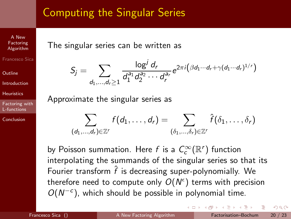## Computing the Singular Series

Factoring [Algorithm](#page-0-0) Francesco Sica

A New

[Outline](#page-1-0)

[Introduction](#page-2-0)

**[Heuristics](#page-15-0)** 

[Factoring with](#page-23-0) L-functions

**[Conclusion](#page-39-0)** 

The singular series can be written as

$$
S_j = \sum_{d_1,...,d_r\geq 1} \frac{\log^j d_r}{d_1^{a_1} d_2^{a_2} \cdots d_r^{a_r}} e^{2\pi i \left(\beta d_1 \cdots d_r + \gamma (d_1 \cdots d_r)^{1/r}\right)}
$$

Approximate the singular series as

$$
\sum_{(d_1,\ldots,d_r)\in\mathbb{Z}^r} f(d_1,\ldots,d_r) = \sum_{(\delta_1,\ldots,\delta_r)\in\mathbb{Z}^r} \hat{f}(\delta_1,\ldots,\delta_r)
$$

by Poisson summation. Here  $f$  is a  $\mathcal{C}^\infty_c(\mathbb{R}^r)$  function interpolating the summands of the singular series so that its Fourier transform  $\hat{f}$  is decreasing super-polynomially. We therefore need to compute only  $O(N^{\epsilon})$  terms with precision  $O(N^{-c})$ , which should be possible in polynomial time.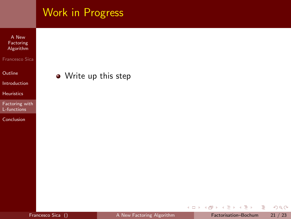|                                                   | Work in Progress     |
|---------------------------------------------------|----------------------|
| A New<br>Factoring<br>Algorithm<br>Francesco Sica |                      |
| Outline                                           | • Write up this step |
| Introduction                                      |                      |
| <b>Heuristics</b>                                 |                      |
| Factoring with<br>L-functions                     |                      |
| Conclusion                                        |                      |

イロト イ部 トイモト イモト

 $\equiv$  990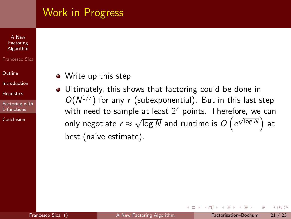### Work in Progress

#### A New Factoring [Algorithm](#page-0-0)

#### Francesco Sica

#### [Outline](#page-1-0)

[Introduction](#page-2-0)

**[Heuristics](#page-15-0)** 

[Factoring with](#page-23-0) L-functions

[Conclusion](#page-39-0)

- Write up this step
- Ultimately, this shows that factoring could be done in  $\bullet$  $O(N^{1/r})$  for any r (subexponential). But in this last step with need to sample at least  $2<sup>r</sup>$  points. Therefore, we can only negotiate  $r \approx \sqrt{\log N}$  and runtime is  $O\left(e^{\sqrt{\log N}}\right)$ at best (naive estimate).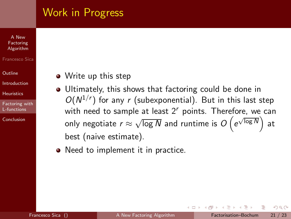### Work in Progress

#### A New Factoring [Algorithm](#page-0-0)

#### Francesco Sica

#### [Outline](#page-1-0)

[Introduction](#page-2-0)

**[Heuristics](#page-15-0)** 

[Factoring with](#page-23-0) L-functions

[Conclusion](#page-39-0)

- Write up this step
- Ultimately, this shows that factoring could be done in  $\bullet$  $O(N^{1/r})$  for any r (subexponential). But in this last step with need to sample at least  $2<sup>r</sup>$  points. Therefore, we can only negotiate  $r \approx \sqrt{\log N}$  and runtime is  $O\left(e^{\sqrt{\log N}}\right)$ at best (naive estimate).
- Need to implement it in practice.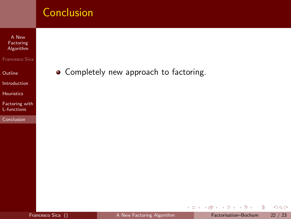A New Factoring [Algorithm](#page-0-0)

Francesco Sica

**[Outline](#page-1-0)** 

[Introduction](#page-2-0)

[Heuristics](#page-15-0)

[Factoring with](#page-23-0) L-functions

[Conclusion](#page-39-0)

• Completely new approach to factoring.

<span id="page-39-0"></span>4 0 8  $\overline{A}$  $\mathbf{b}$ ÷  $\mathbf{h}$  $\mathcal{A}$  э

 $2Q$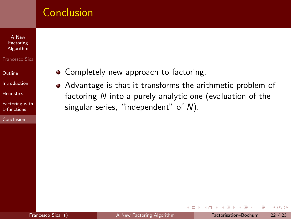#### A New Factoring [Algorithm](#page-0-0)

#### Francesco Sica

**[Outline](#page-1-0)** 

[Introduction](#page-2-0)

**[Heuristics](#page-15-0)** 

[Factoring with](#page-23-0) L-functions

[Conclusion](#page-39-0)

- Completely new approach to factoring.
- Advantage is that it transforms the arithmetic problem of factoring N into a purely analytic one (evaluation of the singular series, "independent" of N).

4 D F

 $OQ$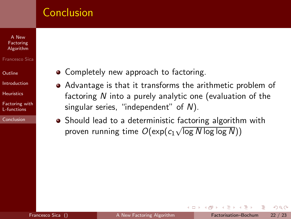#### A New Factoring [Algorithm](#page-0-0)

- Francesco Sica
- [Outline](#page-1-0)
- [Introduction](#page-2-0)
- **[Heuristics](#page-15-0)**
- [Factoring with](#page-23-0) L-functions
- [Conclusion](#page-39-0)
- Completely new approach to factoring.
- Advantage is that it transforms the arithmetic problem of factoring N into a purely analytic one (evaluation of the singular series, "independent" of N).
- Should lead to a deterministic factoring algorithm with proven running time  $O(\exp(c_1\sqrt{\log N \log \log N}))$

4 D F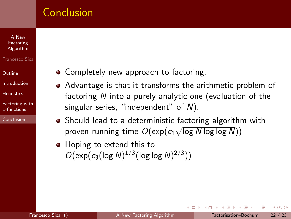### A New Factoring [Algorithm](#page-0-0)

- Francesco Sica
- [Outline](#page-1-0)
- [Introduction](#page-2-0)
- **[Heuristics](#page-15-0)**
- [Factoring with](#page-23-0) L-functions

[Conclusion](#page-39-0)

- Completely new approach to factoring.
- Advantage is that it transforms the arithmetic problem of factoring N into a purely analytic one (evaluation of the singular series, "independent" of N).
- Should lead to a deterministic factoring algorithm with proven running time  $O(\exp(c_1\sqrt{\log N \log \log N}))$
- Hoping to extend this to  $O(\exp(c_3(\log N)^{1/3}(\log \log N)^{2/3}))$